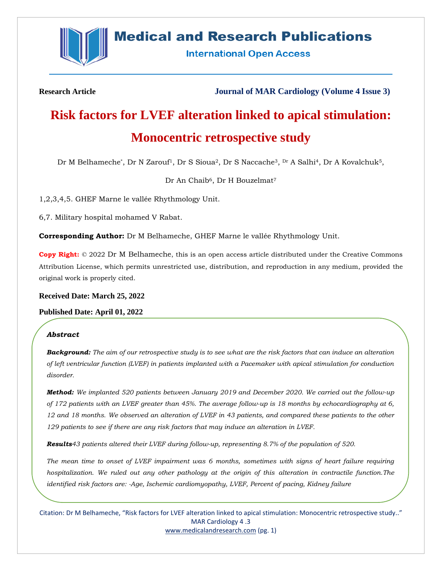

## **Medical and Research Publications**

**International Open Access** 

**Research Article Journal of MAR Cardiology (Volume 4 Issue 3)**

# **Risk factors for LVEF alteration linked to apical stimulation: Monocentric retrospective study**

Dr M Belhameche<sup>\*</sup>, Dr N Zarouf<sup>1</sup>, Dr S Sioua<sup>2</sup>, Dr S Naccache<sup>3</sup>, <sup>Dr</sup> A Salhi<sup>4</sup>, Dr A Kovalchuk<sup>5</sup>,

Dr An Chaib<sup>6</sup>, Dr H Bouzelmat<sup>7</sup>

1,2,3,4,5. GHEF Marne le vallée Rhythmology Unit.

6,7. Military hospital mohamed V Rabat.

**Corresponding Author:** Dr M Belhameche, GHEF Marne le vallée Rhythmology Unit.

**Copy Right:** © 2022 Dr M Belhameche, this is an open access article distributed under the Creative Commons Attribution License, which permits unrestricted use, distribution, and reproduction in any medium, provided the original work is properly cited.

**Received Date: March 25, 2022**

**Published Date: April 01, 2022**

#### *Abstract*

*Background: The aim of our retrospective study is to see what are the risk factors that can induce an alteration of left ventricular function (LVEF) in patients implanted with a Pacemaker with apical stimulation for conduction disorder.*

*Method: We implanted 520 patients between January 2019 and December 2020. We carried out the follow-up of 172 patients with an LVEF greater than 45%. The average follow-up is 18 months by echocardiography at 6, 12 and 18 months. We observed an alteration of LVEF in 43 patients, and compared these patients to the other 129 patients to see if there are any risk factors that may induce an alteration in LVEF.*

*Results43 patients altered their LVEF during follow-up, representing 8.7% of the population of 520.*

*The mean time to onset of LVEF impairment was 6 months, sometimes with signs of heart failure requiring hospitalization. We ruled out any other pathology at the origin of this alteration in contractile function.The identified risk factors are: -Age, Ischemic cardiomyopathy, LVEF, Percent of pacing, Kidney failure*

Citation: Dr M Belhameche, "Risk factors for LVEF alteration linked to apical stimulation: Monocentric retrospective study.." MAR Cardiology 4 .3 [www.medicalandresearch.com](http://www.medicalandresearch.com/) (pg. 1)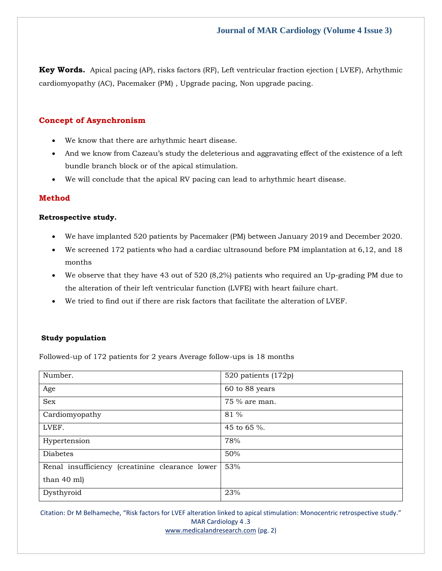**Key Words.** Apical pacing (AP), risks factors (RF), Left ventricular fraction ejection ( LVEF), Arhythmic cardiomyopathy (AC), Pacemaker (PM) , Upgrade pacing, Non upgrade pacing.

#### **Concept of Asynchronism**

- We know that there are arhythmic heart disease.
- And we know from Cazeau's study the deleterious and aggravating effect of the existence of a left bundle branch block or of the apical stimulation.
- We will conclude that the apical RV pacing can lead to arhythmic heart disease.

#### **Method**

#### **Retrospective study.**

- We have implanted 520 patients by Pacemaker (PM) between January 2019 and December 2020.
- We screened 172 patients who had a cardiac ultrasound before PM implantation at 6,12, and 18 months
- We observe that they have 43 out of 520 (8,2%) patients who required an Up-grading PM due to the alteration of their left ventricular function (LVFE) with heart failure chart.
- We tried to find out if there are risk factors that facilitate the alteration of LVEF.

#### **Study population**

Followed-up of 172 patients for 2 years Average follow-ups is 18 months

| Number.                                         | 520 patients (172p) |
|-------------------------------------------------|---------------------|
| Age                                             | 60 to 88 years      |
| Sex                                             | 75 % are man.       |
| Cardiomyopathy                                  | 81 %                |
| LVEF.                                           | 45 to 65 %.         |
| Hypertension                                    | 78%                 |
| <b>Diabetes</b>                                 | 50%                 |
| Renal insufficiency (creatinine clearance lower | 53%                 |
| than 40 ml)                                     |                     |
| Dysthyroid                                      | 23%                 |

Citation: Dr M Belhameche, "Risk factors for LVEF alteration linked to apical stimulation: Monocentric retrospective study." MAR Cardiology 4 .3

[www.medicalandresearch.com](http://www.medicalandresearch.com/) (pg. 2)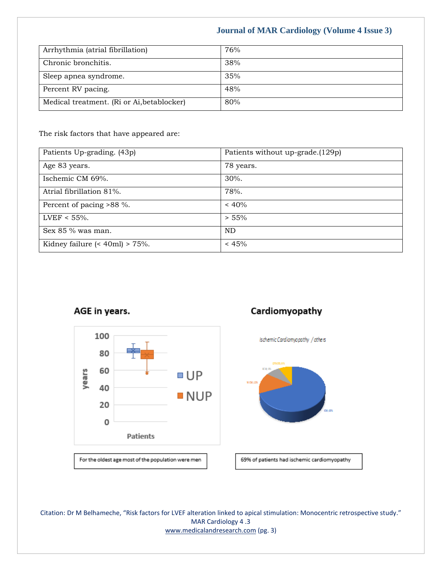## **Journal of MAR Cardiology (Volume 4 Issue 3)**

| Arrhythmia (atrial fibrillation)           | 76% |
|--------------------------------------------|-----|
| Chronic bronchitis.                        | 38% |
| Sleep apnea syndrome.                      | 35% |
| Percent RV pacing.                         | 48% |
| Medical treatment. (Ri or Ai, betablocker) | 80% |

The risk factors that have appeared are:

| Patients Up-grading. (43p)                   | Patients without up-grade.(129p) |
|----------------------------------------------|----------------------------------|
| Age 83 years.                                | 78 years.                        |
| Ischemic CM 69%.                             | 30%.                             |
| Atrial fibrillation 81%.                     | 78%.                             |
| Percent of pacing >88 %.                     | $~< 40\%$                        |
| LVEF < $55\%$ .                              | > 55%                            |
| Sex $85\%$ was man.                          | <b>ND</b>                        |
| Kidney failure $\approx$ 40ml $\approx$ 75%. | < 45%                            |





For the oldest age most of the population were men

## Cardiomyopathy





69% of patients had ischemic cardiomyopathy

Citation: Dr M Belhameche, "Risk factors for LVEF alteration linked to apical stimulation: Monocentric retrospective study." MAR Cardiology 4 .3 [www.medicalandresearch.com](http://www.medicalandresearch.com/) (pg. 3)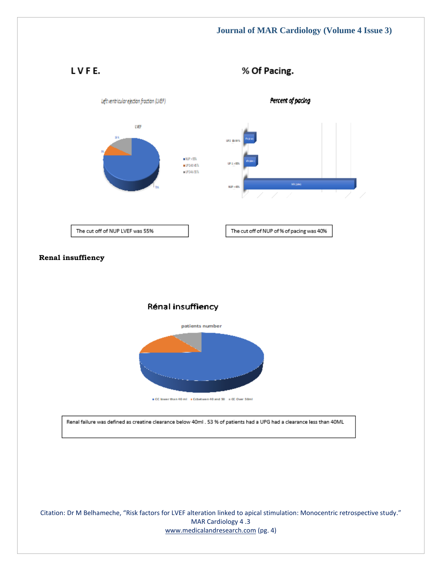LVFE.

% Of Pacing.



Citation: Dr M Belhameche, "Risk factors for LVEF alteration linked to apical stimulation: Monocentric retrospective study." MAR Cardiology 4 .3 [www.medicalandresearch.com](http://www.medicalandresearch.com/) (pg. 4)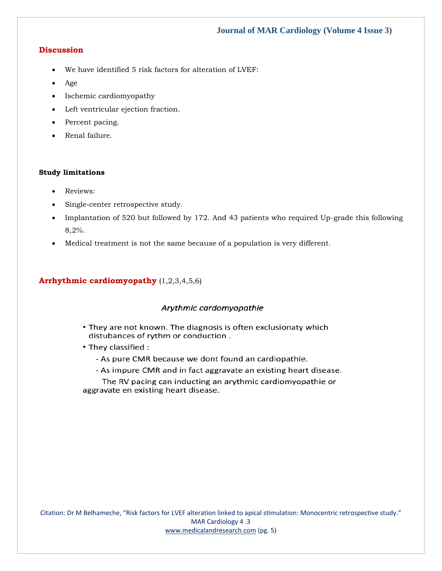#### **Discussion**

- We have identified 5 risk factors for alteration of LVEF:
- Age
- Ischemic cardiomyopathy
- Left ventricular ejection fraction.
- Percent pacing.
- Renal failure.

#### **Study limitations**

- Reviews:
- Single-center retrospective study.
- Implantation of 520 but followed by 172. And 43 patients who required Up-grade this following 8,2%.
- Medical treatment is not the same because of a population is very different.

#### **Arrhythmic cardiomyopathy** (1,2,3,4,5,6)

#### Arythmic cardomyopathie

- They are not known. The diagnosis is often exclusionaty which distubances of rythm or conduction.
- They classified :
	- As pure CMR because we dont found an cardiopathie.
	- As impure CMR and in fact aggravate an existing heart disease.

The RV pacing can inducting an arythmic cardiomyopathie or aggravate en existing heart disease.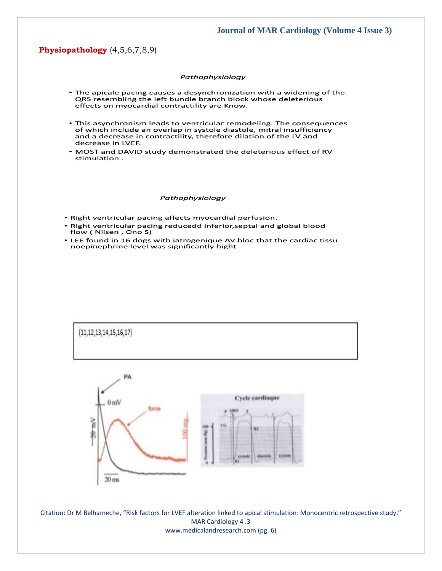#### **Physiopathology** (4,5,6,7,8,9)

#### Pathophysiology

- The apicale pacing causes a desynchronization with a widening of the QRS resembling the left bundle branch block whose deleterious effects on myocardial contractility are Know.
- This asynchronism leads to ventricular remodeling. The consequences of which include an overlap in systole diastole, mitral insufficiency and a decrease in contractility, therefore dilation of the LV and decrease in LVEF.
- . MOST and DAVID study demonstrated the deleterious effect of RV stimulation.

#### Pathophysiology

- Right ventricular pacing affects myocardial perfusion.
- Right ventricular pacing reducedd inferior, septal and global blood flow (Nilsen, Ono S)
- LEE found in 16 dogs with iatrogenique AV bloc that the cardiac tissu noepinephrine level was significantly hight



Citation: Dr M Belhameche, "Risk factors for LVEF alteration linked to apical stimulation: Monocentric retrospective study." MAR Cardiology 4 .3 [www.medicalandresearch.com](http://www.medicalandresearch.com/) (pg. 6)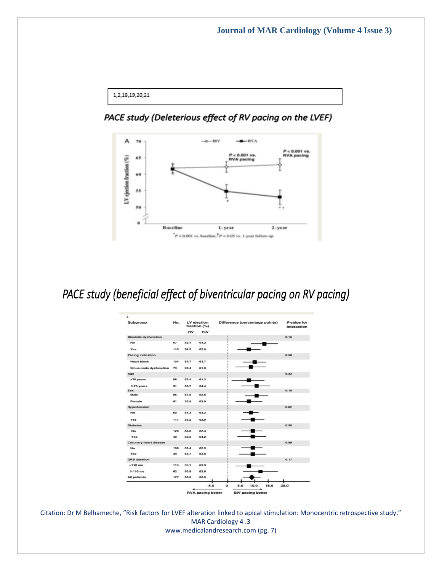```
1,2,18,19,20,21
```
## PACE study (Deleterious effect of RV pacing on the LVEF)



# PACE study (beneficial effect of biventricular pacing on RV pacing)

| Subgroup                      | No. | LV ejection<br>fraction (%) |            | Difference (percentage points) |     |      | P-value for<br>interaction |      |
|-------------------------------|-----|-----------------------------|------------|--------------------------------|-----|------|----------------------------|------|
|                               |     | <b>RV</b>                   | <b>BiV</b> |                                |     |      |                            |      |
| <b>Diastolic dysfunction</b>  |     |                             |            |                                |     |      |                            | 0.13 |
| <b>No</b>                     | 67  | 52.1                        | 64.2       |                                |     |      |                            |      |
| Yes                           | 110 | 54.5                        | 62.0       |                                |     |      |                            |      |
| <b>Pacing indication</b>      |     |                             |            |                                |     |      |                            | 0.58 |
| <b>Heart block</b>            | 104 | 53.7                        | 63.7       |                                |     |      |                            |      |
| Sinus-node dysfunction        | 73  | 53.4                        | 61.9       |                                |     |      |                            |      |
| Age                           |     |                             |            |                                |     |      |                            | 0.32 |
| $<$ 70 years                  | 86  | 53.4                        | 61.2       |                                |     |      |                            |      |
| $\geq$ 70 years               | 91  | 53.7                        | 64.4       |                                |     |      |                            |      |
| <b>Sex</b>                    |     |                             |            |                                |     |      |                            | 0.19 |
| Male                          | 96  | 51.8                        | 62.8       |                                |     |      |                            |      |
| Female                        | 81  | 55.9                        | 63.0       |                                |     |      |                            |      |
| Hypertension                  |     |                             |            |                                |     |      |                            | 0.62 |
| No                            | 60  | 54.3                        | 63.2       |                                |     |      |                            |      |
| Yes                           | 117 | 53.2                        | 629        |                                |     |      |                            |      |
| <b>Diabetes</b>               |     |                             |            |                                |     |      |                            | 0.50 |
| No.                           | 128 | 53.8                        | 62.4       |                                |     |      |                            |      |
| Yes                           | 49  | 53.3                        | 64.2       |                                |     |      |                            |      |
| <b>Coronary heart disease</b> |     |                             |            |                                |     |      |                            | 0.99 |
| No                            | 138 | 53.4                        | 62.5       |                                |     |      |                            |      |
| Yes                           | 39  | 53.7                        | 62.9       |                                |     |      |                            |      |
| <b>QRS</b> duration           |     |                             |            |                                |     |      |                            | 0.17 |
| $<$ 110 $ms$                  | 115 | 55.1                        | 63.9       |                                |     |      |                            |      |
| $\geq$ 110 ms                 | 62  | 50.9                        | 62.9       |                                |     |      |                            |      |
| All patients                  | 177 | 53.6                        | 62.9       |                                |     |      |                            |      |
|                               |     |                             | $-5.0$     | $\bullet$                      | 5.0 | 10.0 | 15.0                       | 20.0 |

Citation: Dr M Belhameche, "Risk factors for LVEF alteration linked to apical stimulation: Monocentric retrospective study." MAR Cardiology 4 .3 [www.medicalandresearch.com](http://www.medicalandresearch.com/) (pg. 7)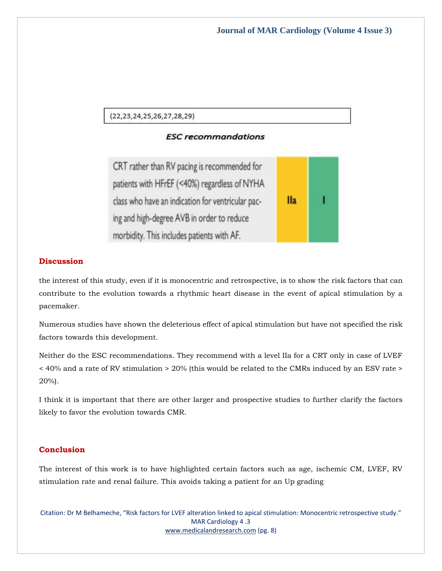$(22, 23, 24, 25, 26, 27, 28, 29)$ 

### **ESC recommandations**

CRT rather than RV pacing is recommended for patients with HFrEF (<40%) regardless of NYHA class who have an indication for ventricular pac- $IIa$ ing and high-degree AVB in order to reduce morbidity. This includes patients with AF.

#### **Discussion**

the interest of this study, even if it is monocentric and retrospective, is to show the risk factors that can contribute to the evolution towards a rhythmic heart disease in the event of apical stimulation by a pacemaker.

Numerous studies have shown the deleterious effect of apical stimulation but have not specified the risk factors towards this development.

Neither do the ESC recommendations. They recommend with a level IIa for a CRT only in case of LVEF < 40% and a rate of RV stimulation > 20% (this would be related to the CMRs induced by an ESV rate > 20%).

I think it is important that there are other larger and prospective studies to further clarify the factors likely to favor the evolution towards CMR.

#### **Conclusion**

The interest of this work is to have highlighted certain factors such as age, ischemic CM, LVEF, RV stimulation rate and renal failure. This avoids taking a patient for an Up grading

Citation: Dr M Belhameche, "Risk factors for LVEF alteration linked to apical stimulation: Monocentric retrospective study." MAR Cardiology 4 .3 [www.medicalandresearch.com](http://www.medicalandresearch.com/) (pg. 8)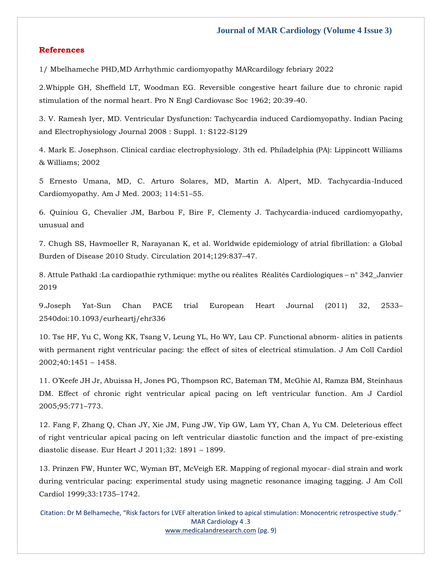#### **References**

1/ Mbelhameche PHD,MD Arrhythmic cardiomyopathy MARcardilogy febriary 2022

2.Whipple GH, Sheffield LT, Woodman EG. Reversible congestive heart failure due to chronic rapid stimulation of the normal heart. Pro N Engl Cardiovasc Soc 1962; 20:39-40.

3. V. Ramesh Iyer, MD. Ventricular Dysfunction: Tachycardia induced Cardiomyopathy. Indian Pacing and Electrophysiology Journal 2008 : Suppl. 1: S122-S129

4. Mark E. Josephson. Clinical cardiac electrophysiology. 3th ed. Philadelphia (PA): Lippincott Williams & Williams; 2002

5 Ernesto Umana, MD, C. Arturo Solares, MD, Martin A. Alpert, MD. Tachycardia-Induced Cardiomyopathy. Am J Med. 2003; 114:51–55.

6. Quiniou G, Chevalier JM, Barbou F, Bire F, Clementy J. Tachycardia-induced cardiomyopathy, unusual and

7. Chugh SS, Havmoeller R, Narayanan K, et al. Worldwide epidemiology of atrial fibrillation: a Global Burden of Disease 2010 Study. Circulation 2014;129:837–47.

8. Attule Pathakl :La cardiopathie rythmique: mythe ou réalites Réalités Cardiologiques – n° 342\_Janvier 2019

9.Joseph Yat-Sun Chan PACE trial European Heart Journal (2011) 32, 2533– 2540doi:10.1093/eurheartj/ehr336

10. Tse HF, Yu C, Wong KK, Tsang V, Leung YL, Ho WY, Lau CP. Functional abnorm- alities in patients with permanent right ventricular pacing: the effect of sites of electrical stimulation. J Am Coll Cardiol 2002;40:1451 – 1458.

11. O'Keefe JH Jr, Abuissa H, Jones PG, Thompson RC, Bateman TM, McGhie AI, Ramza BM, Steinhaus DM. Effect of chronic right ventricular apical pacing on left ventricular function. Am J Cardiol 2005;95:771–773.

12. Fang F, Zhang Q, Chan JY, Xie JM, Fung JW, Yip GW, Lam YY, Chan A, Yu CM. Deleterious effect of right ventricular apical pacing on left ventricular diastolic function and the impact of pre-existing diastolic disease. Eur Heart J 2011;32: 1891 – 1899.

13. Prinzen FW, Hunter WC, Wyman BT, McVeigh ER. Mapping of regional myocar- dial strain and work during ventricular pacing: experimental study using magnetic resonance imaging tagging. J Am Coll Cardiol 1999;33:1735–1742.

Citation: Dr M Belhameche, "Risk factors for LVEF alteration linked to apical stimulation: Monocentric retrospective study." MAR Cardiology 4 .3 [www.medicalandresearch.com](http://www.medicalandresearch.com/) (pg. 9)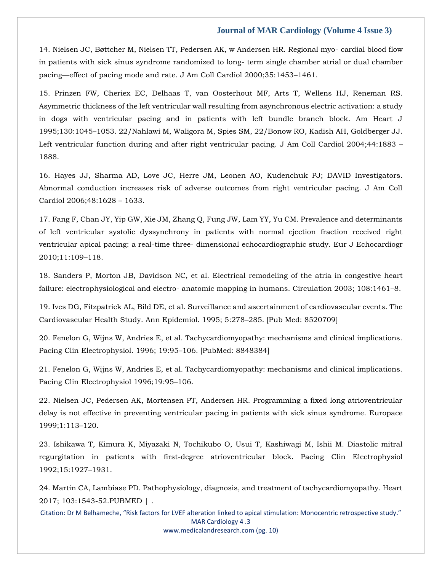#### **Journal of MAR Cardiology (Volume 4 Issue 3)**

14. Nielsen JC, Bøttcher M, Nielsen TT, Pedersen AK, w Andersen HR. Regional myo- cardial blood flow in patients with sick sinus syndrome randomized to long- term single chamber atrial or dual chamber pacing—effect of pacing mode and rate. J Am Coll Cardiol 2000;35:1453–1461.

15. Prinzen FW, Cheriex EC, Delhaas T, van Oosterhout MF, Arts T, Wellens HJ, Reneman RS. Asymmetric thickness of the left ventricular wall resulting from asynchronous electric activation: a study in dogs with ventricular pacing and in patients with left bundle branch block. Am Heart J 1995;130:1045–1053. 22/Nahlawi M, Waligora M, Spies SM, 22/Bonow RO, Kadish AH, Goldberger JJ. Left ventricular function during and after right ventricular pacing. J Am Coll Cardiol 2004;44:1883 – 1888.

16. Hayes JJ, Sharma AD, Love JC, Herre JM, Leonen AO, Kudenchuk PJ; DAVID Investigators. Abnormal conduction increases risk of adverse outcomes from right ventricular pacing. J Am Coll Cardiol 2006;48:1628 – 1633.

17. Fang F, Chan JY, Yip GW, Xie JM, Zhang Q, Fung JW, Lam YY, Yu CM. Prevalence and determinants of left ventricular systolic dyssynchrony in patients with normal ejection fraction received right ventricular apical pacing: a real-time three- dimensional echocardiographic study. Eur J Echocardiogr 2010;11:109–118.

18. Sanders P, Morton JB, Davidson NC, et al. Electrical remodeling of the atria in congestive heart failure: electrophysiological and electro- anatomic mapping in humans. Circulation 2003; 108:1461–8.

19. Ives DG, Fitzpatrick AL, Bild DE, et al. Surveillance and ascertainment of cardiovascular events. The Cardiovascular Health Study. Ann Epidemiol. 1995; 5:278–285. [Pub Med: 8520709]

20. Fenelon G, Wijns W, Andries E, et al. Tachycardiomyopathy: mechanisms and clinical implications. Pacing Clin Electrophysiol. 1996; 19:95–106. [PubMed: 8848384]

21. Fenelon G, Wijns W, Andries E, et al. Tachycardiomyopathy: mechanisms and clinical implications. Pacing Clin Electrophysiol 1996;19:95–106.

22. Nielsen JC, Pedersen AK, Mortensen PT, Andersen HR. Programming a fixed long atrioventricular delay is not effective in preventing ventricular pacing in patients with sick sinus syndrome. Europace 1999;1:113–120.

23. Ishikawa T, Kimura K, Miyazaki N, Tochikubo O, Usui T, Kashiwagi M, Ishii M. Diastolic mitral regurgitation in patients with first-degree atrioventricular block. Pacing Clin Electrophysiol 1992;15:1927–1931.

24. Martin CA, Lambiase PD. Pathophysiology, diagnosis, and treatment of tachycardiomyopathy. Heart 2017; 103:1543-52.PUBMED | .

Citation: Dr M Belhameche, "Risk factors for LVEF alteration linked to apical stimulation: Monocentric retrospective study." MAR Cardiology 4 .3

[www.medicalandresearch.com](http://www.medicalandresearch.com/) (pg. 10)